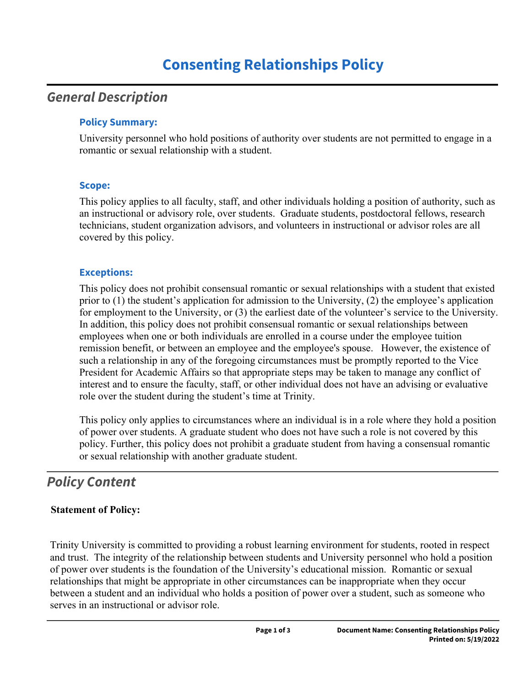### *General Description*

#### **Policy Summary:**

University personnel who hold positions of authority over students are not permitted to engage in a romantic or sexual relationship with a student.

#### **Scope:**

This policy applies to all faculty, staff, and other individuals holding a position of authority, such as an instructional or advisory role, over students. Graduate students, postdoctoral fellows, research technicians, student organization advisors, and volunteers in instructional or advisor roles are all covered by this policy.

#### **Exceptions:**

This policy does not prohibit consensual romantic or sexual relationships with a student that existed prior to (1) the student's application for admission to the University, (2) the employee's application for employment to the University, or (3) the earliest date of the volunteer's service to the University. In addition, this policy does not prohibit consensual romantic or sexual relationships between employees when one or both individuals are enrolled in a course under the employee tuition remission benefit, or between an employee and the employee's spouse. However, the existence of such a relationship in any of the foregoing circumstances must be promptly reported to the Vice President for Academic Affairs so that appropriate steps may be taken to manage any conflict of interest and to ensure the faculty, staff, or other individual does not have an advising or evaluative role over the student during the student's time at Trinity.

This policy only applies to circumstances where an individual is in a role where they hold a position of power over students. A graduate student who does not have such a role is not covered by this policy. Further, this policy does not prohibit a graduate student from having a consensual romantic or sexual relationship with another graduate student.

# *Policy Content*

### **Statement of Policy:**

Trinity University is committed to providing a robust learning environment for students, rooted in respect and trust. The integrity of the relationship between students and University personnel who hold a position of power over students is the foundation of the University's educational mission. Romantic or sexual relationships that might be appropriate in other circumstances can be inappropriate when they occur between a student and an individual who holds a position of power over a student, such as someone who serves in an instructional or advisor role.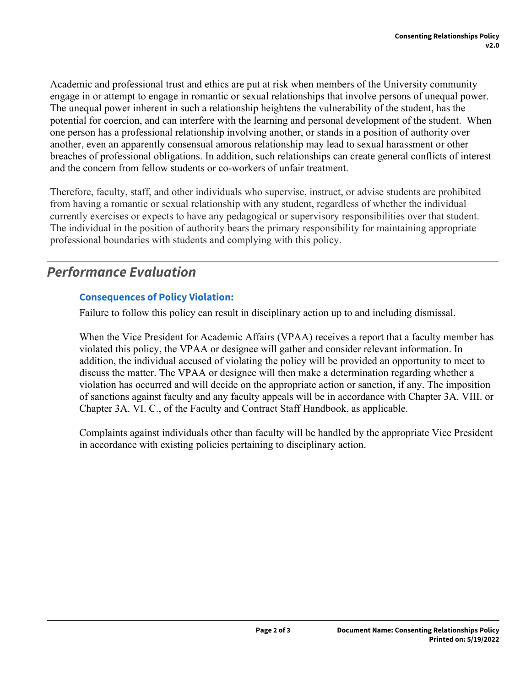Academic and professional trust and ethics are put at risk when members of the University community engage in or attempt to engage in romantic or sexual relationships that involve persons of unequal power. The unequal power inherent in such a relationship heightens the vulnerability of the student, has the potential for coercion, and can interfere with the learning and personal development of the student. When one person has a professional relationship involving another, or stands in a position of authority over another, even an apparently consensual amorous relationship may lead to sexual harassment or other breaches of professional obligations. In addition, such relationships can create general conflicts of interest and the concern from fellow students or co-workers of unfair treatment.

Therefore, faculty, staff, and other individuals who supervise, instruct, or advise students are prohibited from having a romantic or sexual relationship with any student, regardless of whether the individual currently exercises or expects to have any pedagogical or supervisory responsibilities over that student. The individual in the position of authority bears the primary responsibility for maintaining appropriate professional boundaries with students and complying with this policy.

# *Performance Evaluation*

#### **Consequences of Policy Violation:**

Failure to follow this policy can result in disciplinary action up to and including dismissal.

When the Vice President for Academic Affairs (VPAA) receives a report that a faculty member has violated this policy, the VPAA or designee will gather and consider relevant information. In addition, the individual accused of violating the policy will be provided an opportunity to meet to discuss the matter. The VPAA or designee will then make a determination regarding whether a violation has occurred and will decide on the appropriate action or sanction, if any. The imposition of sanctions against faculty and any faculty appeals will be in accordance with Chapter 3A. VIII. or Chapter 3A. VI. C., of the Faculty and Contract Staff Handbook, as applicable.

Complaints against individuals other than faculty will be handled by the appropriate Vice President in accordance with existing policies pertaining to disciplinary action.